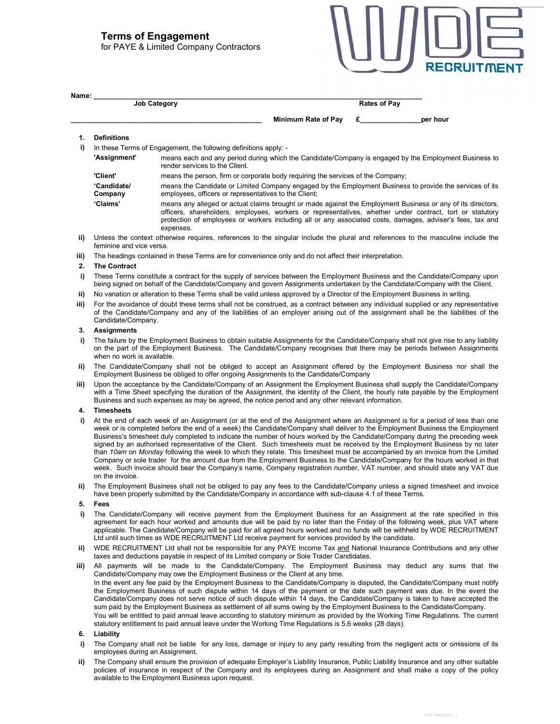# Terms of Engagement

for PAYE & Limited Company Contractors

|  | <b>RECRUITMENT</b> |
|--|--------------------|
|--|--------------------|

4138-1649-0244, v. 1

| <b>Job Category</b> |                     | <b>Rates of Pay</b> |
|---------------------|---------------------|---------------------|
|                     | Minimum Rate of Pay | per hour            |
| <b>Definitions</b>  |                     |                     |

- 
- i) In these Terms of Engagement, the following definitions apply: -
	- 'Assignment' means each and any period during which the Candidate/Company is engaged by the Employment Business to render services to the Client.

| 'Client' | means the person, firm or corporate body requiring the services of the Company: |  |
|----------|---------------------------------------------------------------------------------|--|
|          |                                                                                 |  |

 'Candidate/ Company means the Candidate or Limited Company engaged by the Employment Business to provide the services of its employees, officers or representatives to the Client;

 'Claims' means any alleged or actual claims brought or made against the Employment Business or any of its directors, officers, shareholders, employees, workers or representatives, whether under contract, tort or statutory protection of employees or workers including all or any associated costs, damages, adviser's fees, tax and expenses.

- ii) Unless the context otherwise requires, references to the singular include the plural and references to the masculine include the feminine and vice versa.
- iii) The headings contained in these Terms are for convenience only and do not affect their interpretation.

#### 2. The Contract

- i) These Terms constitute a contract for the supply of services between the Employment Business and the Candidate/Company upon being signed on behalf of the Candidate/Company and govern Assignments undertaken by the Candidate/Company with the Client.
- ii) No variation or alteration to these Terms shall be valid unless approved by a Director of the Employment Business in writing.
- iii) For the avoidance of doubt these terms shall not be construed, as a contract between any individual supplied or any representative of the Candidate/Company and any of the liabilities of an employer arising out of the assignment shall be the liabilities of the Candidate/Company.

#### 3. Assignments

- i) The failure by the Employment Business to obtain suitable Assignments for the Candidate/Company shall not give rise to any liability on the part of the Employment Business. The Candidate/Company recognises that there may be periods between Assignments when no work is available.
- ii) The Candidate/Company shall not be obliged to accept an Assignment offered by the Employment Business nor shall the Employment Business be obliged to offer ongoing Assignments to the Candidate/Company
- iii) Upon the acceptance by the Candidate/Company of an Assignment the Employment Business shall supply the Candidate/Company with a Time Sheet specifying the duration of the Assignment, the identity of the Client, the hourly rate payable by the Employment Business and such expenses as may be agreed, the notice period and any other relevant information.

#### 4. Timesheets

- i) At the end of each week of an Assignment (or at the end of the Assignment where an Assignment is for a period of less than one week or is completed before the end of a week) the Candidate/Company shall deliver to the Employment Business the Employment Business's timesheet duly completed to indicate the number of hours worked by the Candidate/Company during the preceding week signed by an authorised representative of the Client. Such timesheets must be received by the Employment Business by no later than 10am on Monday following the week to which they relate. This timesheet must be accompanied by an invoice from the Limited Company or sole trader for the amount due from the Employment Business to the Candidate/Company for the hours worked in that week. Such invoice should bear the Company's name, Company registration number, VAT number, and should state any VAT due on the invoice.
- ii) The Employment Business shall not be obliged to pay any fees to the Candidate/Company unless a signed timesheet and invoice have been properly submitted by the Candidate/Company in accordance with sub-clause 4.1 of these Terms.

#### $5.$

- i) The Candidate/Company will receive payment from the Employment Business for an Assignment at the rate specified in this agreement for each hour worked and amounts due will be paid by no later than the Friday of the following week, plus VAT where applicable. The Candidate/Company will be paid for all agreed hours worked and no funds will be withheld by WDE RECRUITMENT Ltd until such times as WDE RECRUITMENT Ltd receive payment for services provided by the candidate.
- ii) WDE RECRUITMENT Ltd shall not be responsible for any PAYE Income Tax and National Insurance Contributions and any other taxes and deductions payable in respect of its Limited company or Sole Trader Candidates.

iii) All payments will be made to the Candidate/Company. The Employment Business may deduct any sums that the Candidate/Company may owe the Employment Business or the Client at any time. In the event any fee paid by the Employment Business to the Candidate/Company is disputed, the Candidate/Company must notify the Employment Business of such dispute within 14 days of the payment or the date such payment was due. In the event the Candidate/Company does not serve notice of such dispute within 14 days, the Candidate/Company is taken to have accepted the sum paid by the Employment Business as settlement of all sums owing by the Employment Business to the Candidate/Company. You will be entitled to paid annual leave according to statutory minimum as provided by the Working Time Regulations. The current statutory entitlement to paid annual leave under the Working Time Regulations is 5.6 weeks (28 days).

#### 6. Liability

- i) The Company shall not be liable for any loss, damage or injury to any party resulting from the negligent acts or omissions of its employees during an Assignment.
- ii) The Company shall ensure the provision of adequate Employer's Liability Insurance, Public Liability Insurance and any other suitable policies of insurance in respect of the Company and its employees during an Assignment and shall make a copy of the policy available to the Employment Business upon request.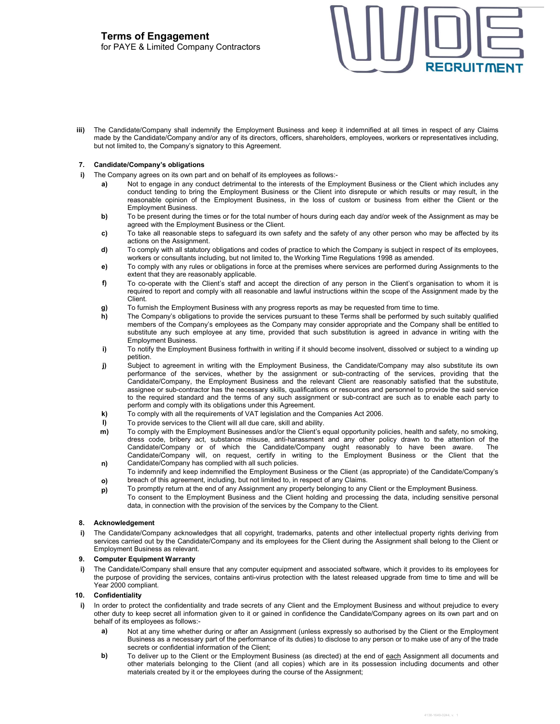iii) The Candidate/Company shall indemnify the Employment Business and keep it indemnified at all times in respect of any Claims made by the Candidate/Company and/or any of its directors, officers, shareholders, employees, workers or representatives including, but not limited to, the Company's signatory to this Agreement.

## 7. Candidate/Company's obligations

- i) The Company agrees on its own part and on behalf of its employees as follows:
	- a) Not to engage in any conduct detrimental to the interests of the Employment Business or the Client which includes any conduct tending to bring the Employment Business or the Client into disrepute or which results or may result, in the reasonable opinion of the Employment Business, in the loss of custom or business from either the Client or the Employment Business.
	- b) To be present during the times or for the total number of hours during each day and/or week of the Assignment as may be agreed with the Employment Business or the Client.
	- c) To take all reasonable steps to safeguard its own safety and the safety of any other person who may be affected by its actions on the Assignment.
	- d) To comply with all statutory obligations and codes of practice to which the Company is subject in respect of its employees, workers or consultants including, but not limited to, the Working Time Regulations 1998 as amended.
	- e) To comply with any rules or obligations in force at the premises where services are performed during Assignments to the extent that they are reasonably applicable.
	- f) To co-operate with the Client's staff and accept the direction of any person in the Client's organisation to whom it is required to report and comply with all reasonable and lawful instructions within the scope of the Assignment made by the Client.
	- g) To furnish the Employment Business with any progress reports as may be requested from time to time.
	- h) The Company's obligations to provide the services pursuant to these Terms shall be performed by such suitably qualified members of the Company's employees as the Company may consider appropriate and the Company shall be entitled to substitute any such employee at any time, provided that such substitution is agreed in advance in writing with the Employment Business.
	- i) To notify the Employment Business forthwith in writing if it should become insolvent, dissolved or subject to a winding up petition.
	- j) Subject to agreement in writing with the Employment Business, the Candidate/Company may also substitute its own performance of the services, whether by the assignment or sub-contracting of the services, providing that the Candidate/Company, the Employment Business and the relevant Client are reasonably satisfied that the substitute, assignee or sub-contractor has the necessary skills, qualifications or resources and personnel to provide the said service to the required standard and the terms of any such assignment or sub-contract are such as to enable each party to perform and comply with its obligations under this Agreement.
	- k) To comply with all the requirements of VAT legislation and the Companies Act 2006.
	- l) To provide services to the Client will all due care, skill and ability.
	- m) n) To comply with the Employment Businesses and/or the Client's equal opportunity policies, health and safety, no smoking, dress code, bribery act, substance misuse, anti-harassment and any other policy drawn to the attention of the Candidate/Company or of which the Candidate/Company ought reasonably to have been aware. The Candidate/Company will, on request, certify in writing to the Employment Business or the Client that the Candidate/Company has complied with all such policies.
	- o) To indemnify and keep indemnified the Employment Business or the Client (as appropriate) of the Candidate/Company's breach of this agreement, including, but not limited to, in respect of any Claims.
	- p) To promptly return at the end of any Assignment any property belonging to any Client or the Employment Business. To consent to the Employment Business and the Client holding and processing the data, including sensitive personal data, in connection with the provision of the services by the Company to the Client.

## 8. Acknowledgement

i) The Candidate/Company acknowledges that all copyright, trademarks, patents and other intellectual property rights deriving from services carried out by the Candidate/Company and its employees for the Client during the Assignment shall belong to the Client or Employment Business as relevant.

## 9. Computer Equipment Warranty

i) The Candidate/Company shall ensure that any computer equipment and associated software, which it provides to its employees for the purpose of providing the services, contains anti-virus protection with the latest released upgrade from time to time and will be Year 2000 compliant.

## 10. Confidentiality

- i) In order to protect the confidentiality and trade secrets of any Client and the Employment Business and without prejudice to every other duty to keep secret all information given to it or gained in confidence the Candidate/Company agrees on its own part and on behalf of its employees as follows:
	- a) Not at any time whether during or after an Assignment (unless expressly so authorised by the Client or the Employment Business as a necessary part of the performance of its duties) to disclose to any person or to make use of any of the trade secrets or confidential information of the Client;
	- b) To deliver up to the Client or the Employment Business (as directed) at the end of each Assignment all documents and other materials belonging to the Client (and all copies) which are in its possession including documents and other materials created by it or the employees during the course of the Assignment;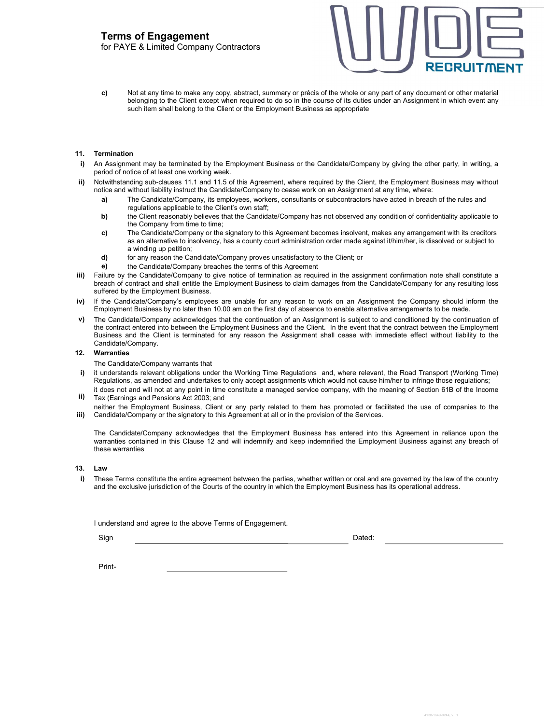for PAYE & Limited Company Contractors



c) Not at any time to make any copy, abstract, summary or précis of the whole or any part of any document or other material belonging to the Client except when required to do so in the course of its duties under an Assignment in which event any such item shall belong to the Client or the Employment Business as appropriate

#### 11. Termination

- i) An Assignment may be terminated by the Employment Business or the Candidate/Company by giving the other party, in writing, a period of notice of at least one working week.
- Notwithstanding sub-clauses 11.1 and 11.5 of this Agreement, where required by the Client, the Employment Business may without notice and without liability instruct the Candidate/Company to cease work on an Assignment at any time, where:
	- a) The Candidate/Company, its employees, workers, consultants or subcontractors have acted in breach of the rules and regulations applicable to the Client's own staff;
	- b) the Client reasonably believes that the Candidate/Company has not observed any condition of confidentiality applicable to the Company from time to time;
	- c) The Candidate/Company or the signatory to this Agreement becomes insolvent, makes any arrangement with its creditors as an alternative to insolvency, has a county court administration order made against it/him/her, is dissolved or subject to a winding up petition;
	- d) for any reason the Candidate/Company proves unsatisfactory to the Client; or
	- e) the Candidate/Company breaches the terms of this Agreement
- iii) Failure by the Candidate/Company to give notice of termination as required in the assignment confirmation note shall constitute a breach of contract and shall entitle the Employment Business to claim damages from the Candidate/Company for any resulting loss suffered by the Employment Business.
- iv) If the Candidate/Company's employees are unable for any reason to work on an Assignment the Company should inform the Employment Business by no later than 10.00 am on the first day of absence to enable alternative arrangements to be made.
- v) The Candidate/Company acknowledges that the continuation of an Assignment is subject to and conditioned by the continuation of the contract entered into between the Employment Business and the Client. In the event that the contract between the Employment Business and the Client is terminated for any reason the Assignment shall cease with immediate effect without liability to the Candidate/Company.

#### 12. Warranties

The Candidate/Company warrants that

- i) it understands relevant obligations under the Working Time Regulations and, where relevant, the Road Transport (Working Time) Regulations, as amended and undertakes to only accept assignments which would not cause him/her to infringe those regulations;
- ii) it does not and will not at any point in time constitute a managed service company, with the meaning of Section 61B of the Income Tax (Earnings and Pensions Act 2003; and
- iii) neither the Employment Business, Client or any party related to them has promoted or facilitated the use of companies to the Candidate/Company or the signatory to this Agreement at all or in the provision of the Services.

The Candidate/Company acknowledges that the Employment Business has entered into this Agreement in reliance upon the warranties contained in this Clause 12 and will indemnify and keep indemnified the Employment Business against any breach of these warranties

## 13. Law

These Terms constitute the entire agreement between the parties, whether written or oral and are governed by the law of the country and the exclusive jurisdiction of the Courts of the country in which the Employment Business has its operational address.

I understand and agree to the above Terms of Engagement.

Sign Dated: Note of the Sign Dated: Note of the Sign Dated: Note of the Dated: Note of the Dated: Note of the Dated:

Print -